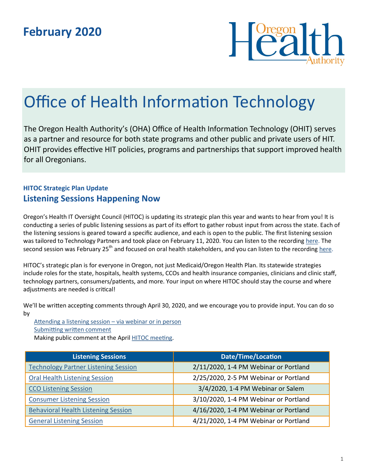

# Office of Health Information Technology

The Oregon Health Authority's (OHA) Office of Health Information Technology (OHIT) serves as a partner and resource for both state programs and other public and private users of HIT. OHIT provides effective HIT policies, programs and partnerships that support improved health for all Oregonians.

## **HITOC Strategic Plan Update Listening Sessions Happening Now**

Oregon's Health IT Oversight Council (HITOC) is updating its strategic plan this year and wants to hear from you! It is conducting a series of public listening sessions as part of its effort to gather robust input from across the state. Each of the listening sessions is geared toward a specific audience, and each is open to the public. The first listening session was tailored to Technology Partners and took place on February 11, 2020. You can listen to the recording [here.](https://www.oregon.gov/oha/HPA/OHIT-HITOC/SP%202021%20Meeting%20Documents/20200211-Technology%20Partner%20LS_Recording_Trimmed%20and%20Compressed.MP3) The second session was February 25<sup>th</sup> and focused on oral health stakeholders, and you can listen to the recording [here.](https://www.oregon.gov/oha/HPA/OHIT-HITOC/SP%202021%20Meeting%20Documents/20200225-Oral%20Health-LS-Recording-Trimmed-Compressed.MP3)

HITOC's strategic plan is for everyone in Oregon, not just Medicaid/Oregon Health Plan. Its statewide strategies include roles for the state, hospitals, health systems, CCOs and health insurance companies, clinicians and clinic staff, technology partners, consumers/patients, and more. Your input on where HITOC should stay the course and where adjustments are needed is critical!

We'll be written accepting comments through April 30, 2020, and we encourage you to provide input. You can do so by

[Attending a listening session](https://www.oregon.gov/oha/HPA/OHIT-HITOC/Pages/SP21-Listen.aspx) – via webinar or in person [Submitting written comment](https://www.oregon.gov/oha/HPA/OHIT-HITOC/Pages/SP21-Comment.aspx)

Making public comment at the April [HITOC meeting.](https://www.oregon.gov/oha/HPA/OHIT-HITOC/Pages/Public-Meeting-Notice.aspx)

| <b>Listening Sessions</b>                   | <b>Date/Time/Location</b>             |
|---------------------------------------------|---------------------------------------|
| <b>Technology Partner Listening Session</b> | 2/11/2020, 1-4 PM Webinar or Portland |
| <b>Oral Health Listening Session</b>        | 2/25/2020, 2-5 PM Webinar or Portland |
| <b>CCO Listening Session</b>                | 3/4/2020, 1-4 PM Webinar or Salem     |
| <b>Consumer Listening Session</b>           | 3/10/2020, 1-4 PM Webinar or Portland |
| <b>Behavioral Health Listening Session</b>  | 4/16/2020, 1-4 PM Webinar or Portland |
| <b>General Listening Session</b>            | 4/21/2020, 1-4 PM Webinar or Portland |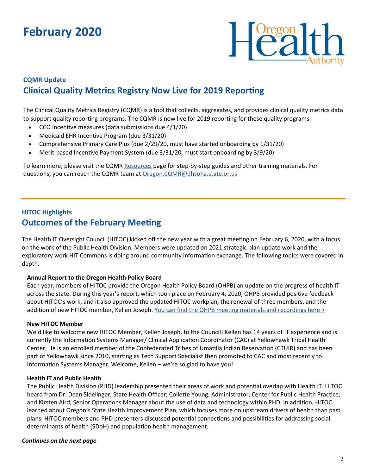## **February 2020**



## **CQMR Update Clinical Quality Metrics Registry Now Live for 2019 Reporting**

The Clinical Quality Metrics Registry (CQMR) is a tool that collects, aggregates, and provides clinical quality metrics data to support quality reporting programs. The CQMR is now live for 2019 reporting for these quality programs:

- CCO incentive measures (data submissions due 4/1/20)
- Medicaid EHR Incentive Program (due 3/31/20)
- Comprehensive Primary Care Plus (due 2/29/20, must have started onboarding by 1/31/20)
- Merit-based Incentive Payment System (due 3/31/20, must start onboarding by 3/9/20)

To learn more, please visit the CQMR [Resources](https://www.oregon.gov/oha/HPA/OHIT/Pages/CQMR-FAQs-and-Resources.aspx) page for step-by-step guides and other training materials. For questions, you can reach the CQMR team at [Oregon.CQMR@dhsoha.state.or.us.](mailto:Oregon.CQMR@dhsoha.state.or.us) 

### **HITOC Highlights Outcomes of the February Meeting**

The Health IT Oversight Council (HITOC) kicked off the new year with a great meeting on February 6, 2020, with a focus on the work of the Public Health Division. Members were updated on 2021 strategic plan update work and the exploratory work HIT Commons is doing around community information exchange. The following topics were covered in depth.

#### **Annual Report to the Oregon Health Policy Board**

Each year, members of HITOC provide the Oregon Health Policy Board (OHPB) an update on the progress of health IT across the state. During this year's report, which took place on February 4, 2020, OHPB provided positive feedback about HITOC's work, and it also approved the updated HITOC workplan, the renewal of three members, and the addition of new HITOC member, Kellen Joseph. [You can find the OHPB meeting materials and recordings here >](https://www.oregon.gov/oha/OHPB/Pages/OHPB-Meetings.aspx)

#### **New HITOC Member**

We'd like to welcome new HITOC Member, Kellen Joseph, to the Council! Kellen has 14 years of IT experience and is currently the Information Systems Manager/ Clinical Application Coordinator (CAC) at Yellowhawk Tribal Health Center. He is an enrolled member of the Confederated Tribes of Umatilla Indian Reservation (CTUIR) and has been part of Yellowhawk since 2010, starting as Tech Support Specialist then promoted to CAC and most recently to Information Systems Manager. Welcome, Kellen – we're so glad to have you!

#### **Health IT and Public Health**

The Public Health Division (PHD) leadership presented their areas of work and potential overlap with Health IT. HITOC heard from Dr. Dean Sidelinger, State Health Officer; Collette Young, Administrator, Center for Public Health Practice; and Kirsten Aird, Senior Operations Manager about the use of data and technology within PHD. In addition, HITOC learned about Oregon's State Health Improvement Plan, which focuses more on upstream drivers of health than past plans. HITOC members and PHD presenters discussed potential connections and possibilities for addressing social determinants of health (SDoH) and population health management.

#### *Continues on the next page*